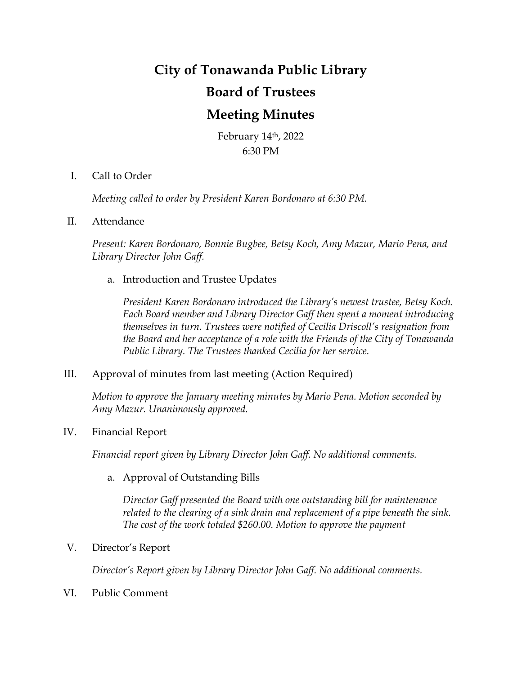# **City of Tonawanda Public Library Board of Trustees Meeting Minutes**

February 14th, 2022 6:30 PM

I. Call to Order

*Meeting called to order by President Karen Bordonaro at 6:30 PM.*

## II. Attendance

*Present: Karen Bordonaro, Bonnie Bugbee, Betsy Koch, Amy Mazur, Mario Pena, and Library Director John Gaff.*

a. Introduction and Trustee Updates

*President Karen Bordonaro introduced the Library's newest trustee, Betsy Koch. Each Board member and Library Director Gaff then spent a moment introducing themselves in turn. Trustees were notified of Cecilia Driscoll's resignation from the Board and her acceptance of a role with the Friends of the City of Tonawanda Public Library. The Trustees thanked Cecilia for her service.* 

## III. Approval of minutes from last meeting (Action Required)

*Motion to approve the January meeting minutes by Mario Pena. Motion seconded by Amy Mazur. Unanimously approved.*

## IV. Financial Report

*Financial report given by Library Director John Gaff. No additional comments.*

## a. Approval of Outstanding Bills

*Director Gaff presented the Board with one outstanding bill for maintenance*  related to the clearing of a sink drain and replacement of a pipe beneath the sink. *The cost of the work totaled \$260.00. Motion to approve the payment* 

## V. Director's Report

*Director's Report given by Library Director John Gaff. No additional comments.*

VI. Public Comment